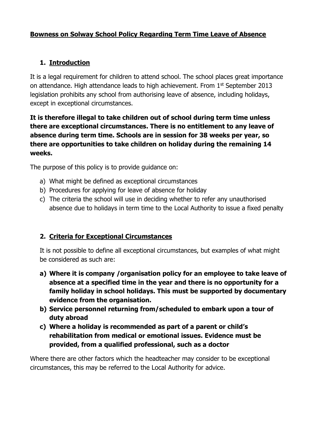## **Bowness on Solway School Policy Regarding Term Time Leave of Absence**

## **1. Introduction**

It is a legal requirement for children to attend school. The school places great importance on attendance. High attendance leads to high achievement. From 1st September 2013 legislation prohibits any school from authorising leave of absence, including holidays, except in exceptional circumstances.

**It is therefore illegal to take children out of school during term time unless there are exceptional circumstances. There is no entitlement to any leave of absence during term time. Schools are in session for 38 weeks per year, so there are opportunities to take children on holiday during the remaining 14 weeks.**

The purpose of this policy is to provide guidance on:

- a) What might be defined as exceptional circumstances
- b) Procedures for applying for leave of absence for holiday
- c) The criteria the school will use in deciding whether to refer any unauthorised absence due to holidays in term time to the Local Authority to issue a fixed penalty

### **2. Criteria for Exceptional Circumstances**

It is not possible to define all exceptional circumstances, but examples of what might be considered as such are:

- **a) Where it is company /organisation policy for an employee to take leave of absence at a specified time in the year and there is no opportunity for a family holiday in school holidays. This must be supported by documentary evidence from the organisation.**
- **b) Service personnel returning from/scheduled to embark upon a tour of duty abroad**
- **c) Where a holiday is recommended as part of a parent or child's rehabilitation from medical or emotional issues. Evidence must be provided, from a qualified professional, such as a doctor**

Where there are other factors which the headteacher may consider to be exceptional circumstances, this may be referred to the Local Authority for advice.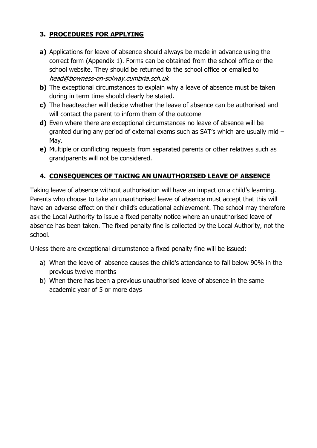## **3. PROCEDURES FOR APPLYING**

- **a)** Applications for leave of absence should always be made in advance using the correct form (Appendix 1). Forms can be obtained from the school office or the school website. They should be returned to the school office or emailed to head@bowness-on-solway.cumbria.sch.uk
- **b)** The exceptional circumstances to explain why a leave of absence must be taken during in term time should clearly be stated.
- **c)** The headteacher will decide whether the leave of absence can be authorised and will contact the parent to inform them of the outcome
- **d)** Even where there are exceptional circumstances no leave of absence will be granted during any period of external exams such as SAT's which are usually mid – May.
- **e)** Multiple or conflicting requests from separated parents or other relatives such as grandparents will not be considered.

## **4. CONSEQUENCES OF TAKING AN UNAUTHORISED LEAVE OF ABSENCE**

Taking leave of absence without authorisation will have an impact on a child's learning. Parents who choose to take an unauthorised leave of absence must accept that this will have an adverse effect on their child's educational achievement. The school may therefore ask the Local Authority to issue a fixed penalty notice where an unauthorised leave of absence has been taken. The fixed penalty fine is collected by the Local Authority, not the school.

Unless there are exceptional circumstance a fixed penalty fine will be issued:

- a) When the leave of absence causes the child's attendance to fall below 90% in the previous twelve months
- b) When there has been a previous unauthorised leave of absence in the same academic year of 5 or more days